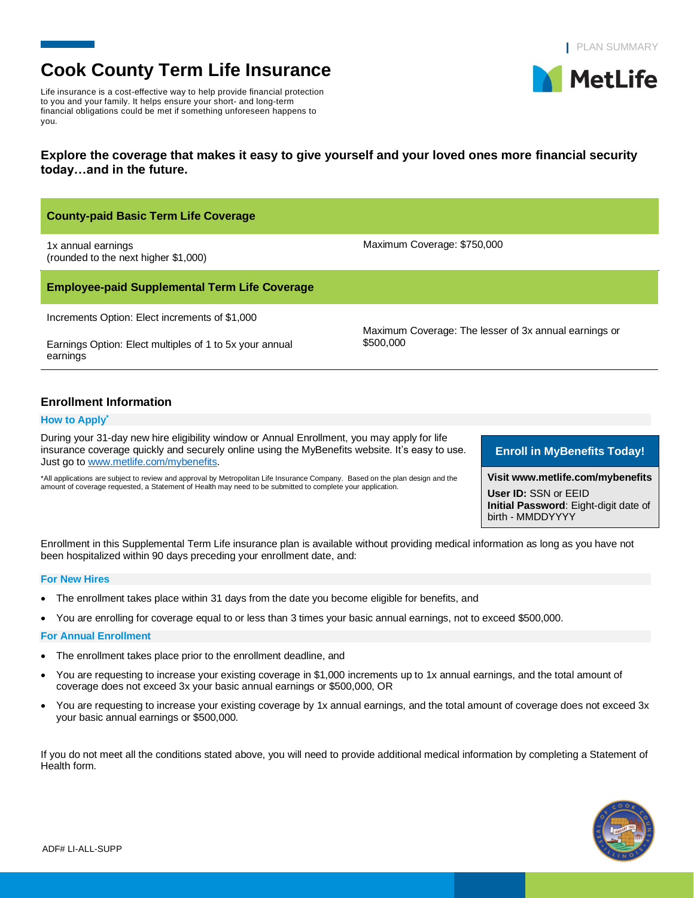**MetLife** 

# **Cook County Term Life Insurance**

Life insurance is a cost-effective way to help provide financial protection to you and your family. It helps ensure your short- and long-term financial obligations could be met if something unforeseen happens to you.

# **Explore the coverage that makes it easy to give yourself and your loved ones more financial security today…and in the future.**

| <b>County-paid Basic Term Life Coverage</b>                                                                                                                                                   |                                                                    |  |
|-----------------------------------------------------------------------------------------------------------------------------------------------------------------------------------------------|--------------------------------------------------------------------|--|
| 1x annual earnings<br>(rounded to the next higher \$1,000)                                                                                                                                    | Maximum Coverage: \$750,000                                        |  |
| <b>Employee-paid Supplemental Term Life Coverage</b>                                                                                                                                          |                                                                    |  |
| Increments Option: Elect increments of \$1,000                                                                                                                                                |                                                                    |  |
| Earnings Option: Elect multiples of 1 to 5x your annual<br>earnings                                                                                                                           | Maximum Coverage: The lesser of 3x annual earnings or<br>\$500,000 |  |
| <b>Enrollment Information</b>                                                                                                                                                                 |                                                                    |  |
| <b>How to Apply</b>                                                                                                                                                                           |                                                                    |  |
| During your 31-day new hire eligibility window or Annual Enrollment, you may apply for life<br>insurance coverage quickly and securely online using the MyBenefits website. It's easy to use. | <b>Enroll in MyBenefits Today!</b>                                 |  |

\*All applications are subject to review and approval by Metropolitan Life Insurance Company. Based on the plan design and the amount of coverage requested, a Statement of Health may need to be submitted to complete your application.

# **Enroll in MyBenefits Today!**

**Visit www.metlife.com/mybenefits User ID:** SSN or EEID **Initial Password**: Eight-digit date of birth - MMDDYYYY

Enrollment in this Supplemental Term Life insurance plan is available without providing medical information as long as you have not been hospitalized within 90 days preceding your enrollment date, and:

#### **For New Hires**

- The enrollment takes place within 31 days from the date you become eligible for benefits, and
- You are enrolling for coverage equal to or less than 3 times your basic annual earnings, not to exceed \$500,000.

#### **For Annual Enrollment**

Just go t[o www.metlife.com/mybenefits.](http://www.metlife.com/mybenefits)

- The enrollment takes place prior to the enrollment deadline, and
- You are requesting to increase your existing coverage in \$1,000 increments up to 1x annual earnings, and the total amount of coverage does not exceed 3x your basic annual earnings or \$500,000, OR
- You are requesting to increase your existing coverage by 1x annual earnings, and the total amount of coverage does not exceed 3x your basic annual earnings or \$500,000.

If you do not meet all the conditions stated above, you will need to provide additional medical information by completing a Statement of Health form.